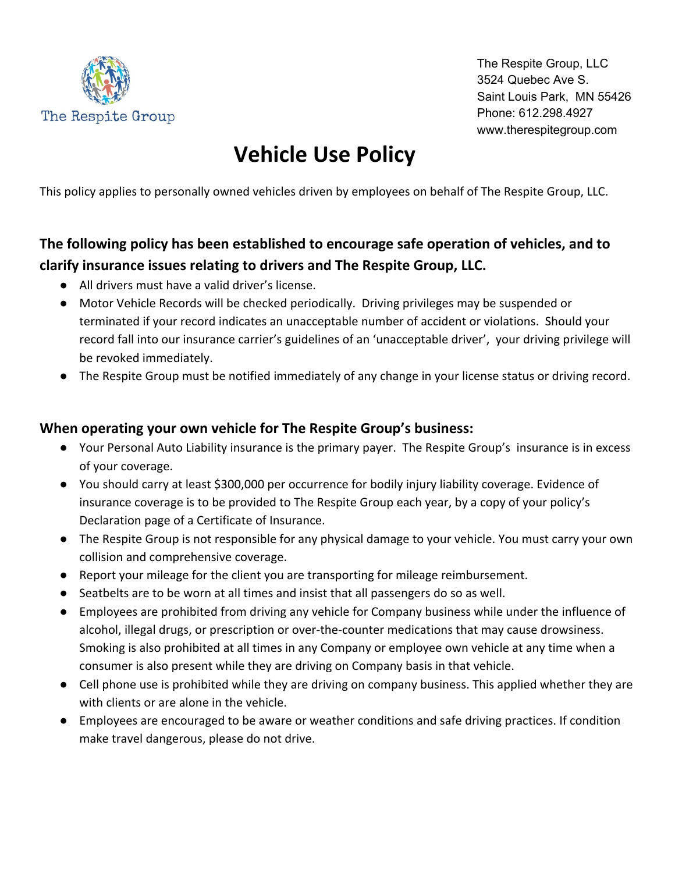

The Respite Group, LLC 3524 Quebec Ave S. Saint Louis Park, MN 55426 Phone: 612.298.4927 www.therespitegroup.com

## **Vehicle Use Policy**

This policy applies to personally owned vehicles driven by employees on behalf of The Respite Group, LLC.

## **The following policy has been established to encourage safe operation of vehicles, and to clarify insurance issues relating to drivers and The Respite Group, LLC.**

- All drivers must have a valid driver's license.
- Motor Vehicle Records will be checked periodically. Driving privileges may be suspended or terminated if your record indicates an unacceptable number of accident or violations. Should your record fall into our insurance carrier's guidelines of an 'unacceptable driver', your driving privilege will be revoked immediately.
- The Respite Group must be notified immediately of any change in your license status or driving record.

## **When operating your own vehicle for The Respite Group's business:**

- Your Personal Auto Liability insurance is the primary payer. The Respite Group's insurance is in excess of your coverage.
- You should carry at least \$300,000 per occurrence for bodily injury liability coverage. Evidence of insurance coverage is to be provided to The Respite Group each year, by a copy of your policy's Declaration page of a Certificate of Insurance.
- The Respite Group is not responsible for any physical damage to your vehicle. You must carry your own collision and comprehensive coverage.
- Report your mileage for the client you are transporting for mileage reimbursement.
- Seatbelts are to be worn at all times and insist that all passengers do so as well.
- Employees are prohibited from driving any vehicle for Company business while under the influence of alcohol, illegal drugs, or prescription or over-the-counter medications that may cause drowsiness. Smoking is also prohibited at all times in any Company or employee own vehicle at any time when a consumer is also present while they are driving on Company basis in that vehicle.
- Cell phone use is prohibited while they are driving on company business. This applied whether they are with clients or are alone in the vehicle.
- Employees are encouraged to be aware or weather conditions and safe driving practices. If condition make travel dangerous, please do not drive.